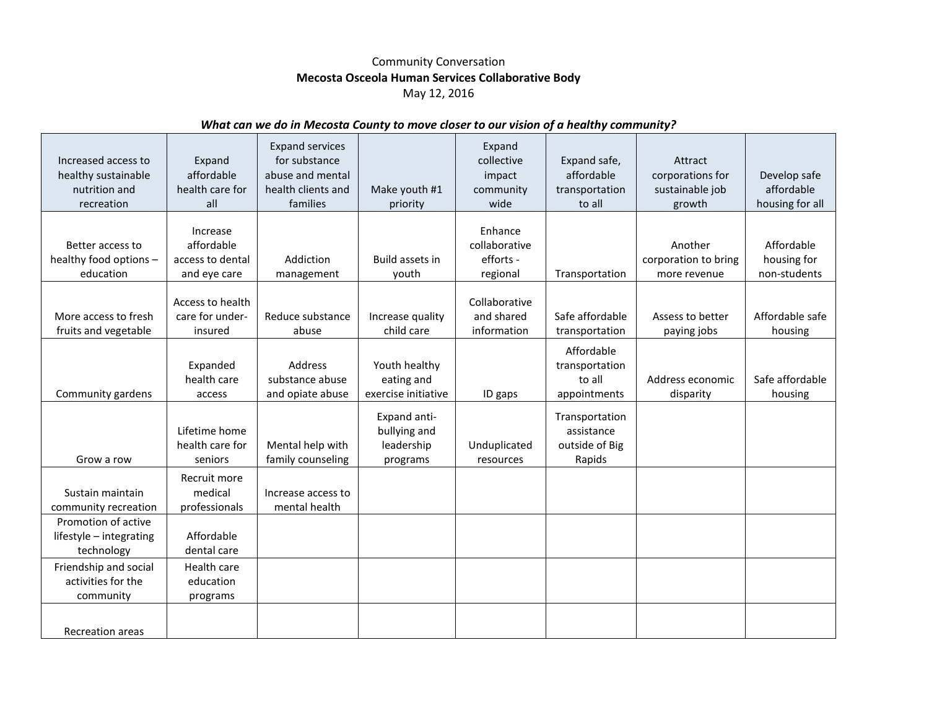## Community Conversation **Mecosta Osceola Human Services Collaborative Body** May 12, 2016

## *What can we do in Mecosta County to move closer to our vision of a healthy community?*

| Increased access to<br>healthy sustainable<br>nutrition and<br>recreation | Expand<br>affordable<br>health care for<br>all             | <b>Expand services</b><br>for substance<br>abuse and mental<br>health clients and<br>families | Make youth #1<br>priority                              | Expand<br>collective<br>impact<br>community<br>wide | Expand safe,<br>affordable<br>transportation<br>to all   | Attract<br>corporations for<br>sustainable job<br>growth | Develop safe<br>affordable<br>housing for all |
|---------------------------------------------------------------------------|------------------------------------------------------------|-----------------------------------------------------------------------------------------------|--------------------------------------------------------|-----------------------------------------------------|----------------------------------------------------------|----------------------------------------------------------|-----------------------------------------------|
| Better access to<br>healthy food options -<br>education                   | Increase<br>affordable<br>access to dental<br>and eye care | Addiction<br>management                                                                       | Build assets in<br>youth                               | Enhance<br>collaborative<br>efforts -<br>regional   | Transportation                                           | Another<br>corporation to bring<br>more revenue          | Affordable<br>housing for<br>non-students     |
| More access to fresh<br>fruits and vegetable                              | Access to health<br>care for under-<br>insured             | Reduce substance<br>abuse                                                                     | Increase quality<br>child care                         | Collaborative<br>and shared<br>information          | Safe affordable<br>transportation                        | Assess to better<br>paying jobs                          | Affordable safe<br>housing                    |
| Community gardens                                                         | Expanded<br>health care<br>access                          | Address<br>substance abuse<br>and opiate abuse                                                | Youth healthy<br>eating and<br>exercise initiative     | ID gaps                                             | Affordable<br>transportation<br>to all<br>appointments   | Address economic<br>disparity                            | Safe affordable<br>housing                    |
| Grow a row                                                                | Lifetime home<br>health care for<br>seniors                | Mental help with<br>family counseling                                                         | Expand anti-<br>bullying and<br>leadership<br>programs | Unduplicated<br>resources                           | Transportation<br>assistance<br>outside of Big<br>Rapids |                                                          |                                               |
| Sustain maintain<br>community recreation                                  | Recruit more<br>medical<br>professionals                   | Increase access to<br>mental health                                                           |                                                        |                                                     |                                                          |                                                          |                                               |
| Promotion of active<br>lifestyle - integrating<br>technology              | Affordable<br>dental care                                  |                                                                                               |                                                        |                                                     |                                                          |                                                          |                                               |
| Friendship and social<br>activities for the<br>community                  | Health care<br>education<br>programs                       |                                                                                               |                                                        |                                                     |                                                          |                                                          |                                               |
| <b>Recreation areas</b>                                                   |                                                            |                                                                                               |                                                        |                                                     |                                                          |                                                          |                                               |